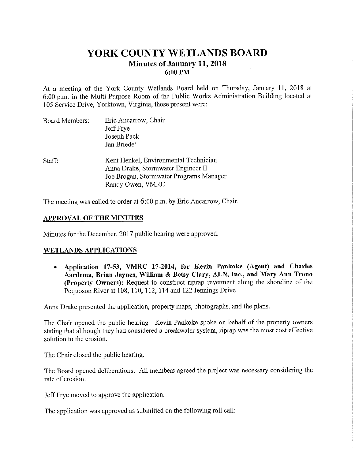# **YORK COUNTY WETLANDS BOARD Minutes of January 11, 2018 6:00 PM**

At a meeting of the York County Wetlands Board held on Thursday, January 11, 2018 at 6:00 p.m. in the Multi-Purpose Room of the Public Works Administration Building located at 105 Service Drive, Yorktown, Virginia, those present were:

| <b>Board Members:</b> | Eric Ancarrow, Chair<br>Jeff Frye<br>Joseph Pack<br>Jan Briede'                                                                            |
|-----------------------|--------------------------------------------------------------------------------------------------------------------------------------------|
| Staff:                | Kent Henkel, Environmental Technician<br>Anna Drake, Stormwater Engineer II<br>Joe Brogan, Stormwater Programs Manager<br>Randy Owen, VMRC |

The meeting was called to order at 6:00 p.m. by Eric Ancarrow, Chair.

# **APPROVAL OF THE MINUTES**

Minutes for the December, 2017 public hearing were approved.

# **WETLANDS APPLICATIONS**

• **Application 17-53, VMRC 17-2014, for Kevin Pankoke (Agent) and Charles Aardema, Brian Jaynes, William & Betsy Clary, ALN, Inc., and Mary Ann Trono (Property Owners):** Request to construct riprap revetment along the shoreline of the Poquoson River at 108, 110, 112, 114 and 122 Jennings Drive

Anna Drake presented the application, property maps, photographs, and the plans.

The Chair opened the public hearing. Kevin Pankoke spoke on behalf of the property owners stating that although they had considered a breakwater system, riprap was the most cost effective solution to the erosion.

The Chair closed the public hearing.

The Board opened deliberations. All members agreed the project was necessary considering the rate of erosion.

Jeff Frye moved to approve the application.

The application was approved as submitted on the following roll call: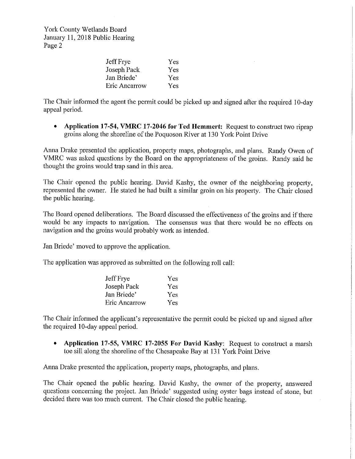York County Wetlands Board January 11, 2018 Public Hearing Page 2

| Jeff Frye     | Yes |
|---------------|-----|
| Joseph Pack   | Yes |
| Jan Briede'   | Yes |
| Eric Ancarrow | Yes |

The Chair informed the agent the permit could be picked up and signed after the required IO-day appeal period.

• **Application 17-54, VMRC 17-2046 for Ted Hemmert:** Request to construct two riprap groins along the shoreline of the Poquoson River at 130 York Point Drive

Anna Drake presented the application, property maps, photographs, and plans. Randy Owen of VMRC was asked questions by the Board on the appropriateness of the groins. Randy said he thought the groins would trap sand in this area.

The Chair opened the public hearing. David Kashy, the owner of the neighboring properly, represented the owner. He stated he had built a similar groin on his property. The Chair closed the public hearing.

The Board opened deliberations. The Board discussed the effectiveness of the groins and if there would be any impacts to navigation. The consensus was that there would be no effects on navigation and the groins would probably work as intended.

Jan Briede' moved to approve the application.

The application was approved as submitted on the following roll call:

| Jeff Frye     | Yes        |
|---------------|------------|
| Joseph Pack   | <b>Yes</b> |
| Jan Briede'   | Yes.       |
| Eric Ancarrow | Yes        |

The Chair informed the applicant's representative the permit could be picked up and signed after the required 10-day appeal period.

• **Application 17-55, VMRC 17-2055 For David Kashy:** Request to construct a marsh toe sill along the shoreline of the Chesapeake Bay at 131 York Point Drive

Anna Drake presented the application, property maps, photographs, and plans.

The Chair opened the public hearing. David Kashy, the owner of the property, answered questions concerning the project. Jan Briede' suggested using oyster bags instead of stone, but decided there was too much current. The Chair closed the public hearing.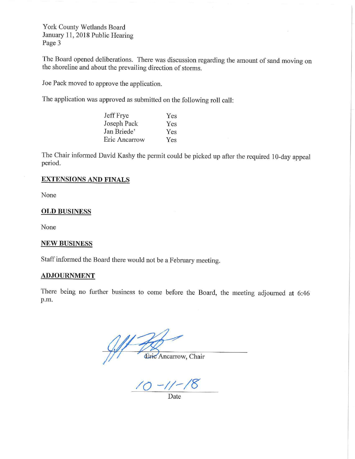York County Wetlands Board January 11, 2018 Public Hearing Page 3

The Board opened deliberations. There was discussion regarding the amount of sand moving on the shoreline and about the prevailing direction of storms.

Joe Pack moved to approve the application.

The application was approved as submitted on the following roll call:

| Jeff Frye     | Yes |
|---------------|-----|
| Joseph Pack   | Yes |
| Jan Briede'   | Yes |
| Eric Ancarrow | Yes |

The Chair informed David Kashy the permit could be picked up after the required 10-day appeal period.

### **EXTENSIONS AND FINALS**

None

#### **OLD BUSINESS**

None

#### **NEW BUSINESS**

Staff informed the Board there would not be a February meeting.

### **ADJOURNMENT**

There being no further business to come before the Board, the meeting adjourned at 6:46 p.m.

Éric Ancarrow, Chair

**/Q -11-/0** 

Date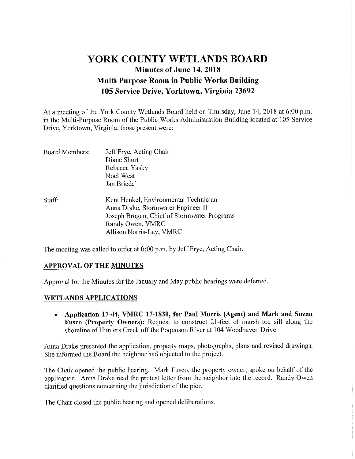# **YORK COUNTY WETLANDS BOARD Minutes of June 14, 2018 Multi-Purpose Room in Public Works Building 105 Service Drive, Yorktown, Virginia 23692**

At a meeting of the York County Wetlands Board held on Thursday, June 14, 2018 at 6:00 p.m. in the Multi-Purpose Room of the Public Works Administration Building located at 105 Service Drive, Yorktown, Virginia, those present were:

| Board Members: | Jeff Frye, Acting Chair                     |  |  |
|----------------|---------------------------------------------|--|--|
|                | Diane Short                                 |  |  |
|                | Rebecca Yasky                               |  |  |
|                | Noel West                                   |  |  |
|                | Jan Briede'                                 |  |  |
| Staff:         | Kent Henkel, Environmental Technician       |  |  |
|                | Anna Drake, Stormwater Engineer II          |  |  |
|                | Joseph Brogan, Chief of Stormwater Programs |  |  |
|                | Randy Owen, VMRC                            |  |  |
|                | Allison Norris-Lay, VMRC                    |  |  |

The meeting was called to order at 6:00 p.m. by Jeff Frye, Acting Chair.

## **APPROVAL OF THE MINUTES**

Approval for the Minutes for the January and May public hearings were deferred.

## **WETLANDS APPLICATIONS**

• **Application 17-44, VMRC 17-1830, for Paul Morris (Agent) and Mark and Suzan Fusco (Property Owners):** Request to construct 21-feet of marsh toe sill along the shoreline of Hunters Creek off the Poquoson River at I 04 Woodhaven Drive

Anna Drake presented the application, property maps, photographs, plans and revised drawings. She informed the Board the neighbor had objected to the project.

The Chair opened the public hearing. Mark Fusco, the property owner, spoke on behalf of the application. Anna Drake read the protest letter from the neighbor into the record. Randy Owen clarified questions concerning the jurisdiction of the pier.

The Chair closed the public hearing and opened deliberations.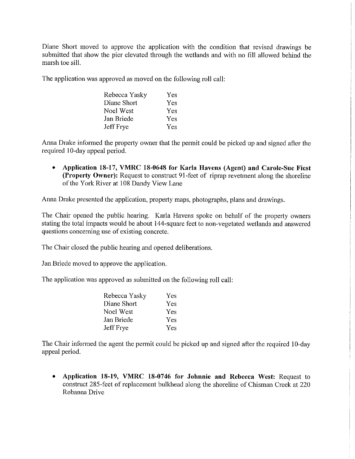Diane Short moved to approve the application with the condition that revised drawings be submitted that show the pier elevated through the wetlands and with no fill allowed behind the marsh toe sill.

The application was approved as moved on the following roll call:

| Rebecca Yasky | Yes |
|---------------|-----|
| Diane Short   | Yes |
| Noel West     | Yes |
| Jan Briede    | Yes |
| Jeff Frye     | Yes |

Anna Drake informed the property owner that the permit could be picked up and signed after the required 10-day appeal period.

• **Application 18-17, VMRC 18-0648 for Karla Havens (Agent) and Carole-Sue Fiest (Property Owner):** Request to construct 91-feet of riprap revetment along the shoreline of the York River at 108 Dandy View Lane

Anna Drake presented the application, property maps, photographs, plans and drawings.

The Chair opened the public hearing. Karla Havens spoke on behalf of the property owners stating the total impacts would be about 144-square feet to non-vegetated wetlands and answered questions concerning use of existing concrete.

The Chair closed the public hearing and opened deliberations.

Jan Briede moved to approve the application.

The application was approved as submitted on the following roll call:

| Rebecca Yasky    | Yes. |
|------------------|------|
| Diane Short      | Yes  |
| Noel West        | Yes  |
| Jan Briede       | Yes  |
| <b>Jeff</b> Frye | Yes  |

The Chair informed the agent the permit could be picked up and signed after the required 10-day appeal period.

• **Application 18-19, VMRC 18-0746 for Johnnie and Rebecca West:** Request to construct 285-feet of replacement bulkhead along the shoreline of Chisman Creek at 220 Rohanna Drive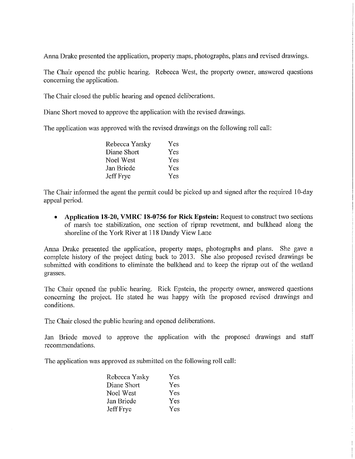Anna Drake presented the application, property maps, photographs, plans and revised drawings.

The Chair opened the public hearing. Rebecca West, the property owner, answered questions concerning the application.

The Chair closed the public hearing and opened deliberations.

Diane Short moved to approve the application with the revised drawings.

The application was approved with the revised drawings on the following roll call:

| Rebecca Yarsky | Yes |
|----------------|-----|
| Diane Short    | Yes |
| Noel West      | Yes |
| Jan Briede     | Yes |
| Jeff Frye      | Yes |

The Chair informed the agent the permit could be picked up and signed after the required 10-day appeal period.

• **Application 18-20, VMRC 18-0756 for Rick Epstein:** Request to construct two sections of marsh toe stabilization, one section of riprap revetment, and bulkhead along the shoreline of the York River at 118 Dandy View Lane

Anna Drake presented the application, property maps, photographs and plans. She gave a complete history of the project dating back to 2013. She also proposed revised drawings be submitted with conditions to eliminate the bulkhead and to keep the riprap out of the wetland grasses.

The Chair opened the public hearing. Rick Epstein, the property owner, answered questions concerning the project. He stated he was happy with the proposed revised drawings and conditions.

The Chair closed the public hearing and opened deliberations.

Jan Briede moved to approve the application with the proposed drawings and staff recommendations.

The application was approved as submitted on the following roll call:

| Rebecca Yasky | Yes |
|---------------|-----|
| Diane Short   | Yes |
| Noel West     | Yes |
| Jan Briede    | Yes |
| Jeff Frye     | Yes |